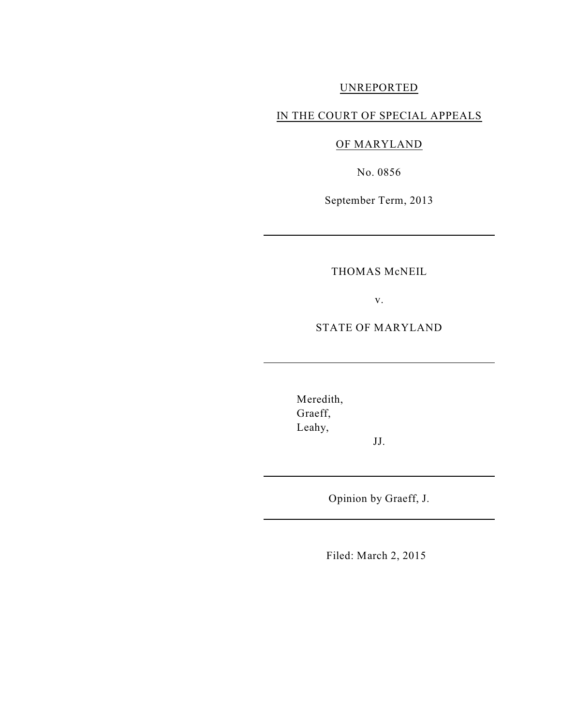# UNREPORTED

# IN THE COURT OF SPECIAL APPEALS

# OF MARYLAND

No. 0856

September Term, 2013

## THOMAS McNEIL

v.

STATE OF MARYLAND

Meredith, Graeff, Leahy,

Opinion by Graeff, J.

JJ.

Filed: March 2, 2015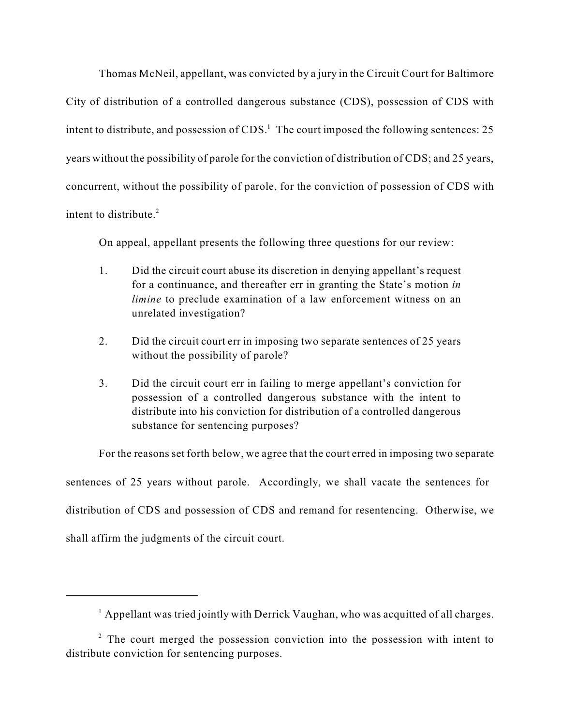Thomas McNeil, appellant, was convicted by a jury in the Circuit Court for Baltimore City of distribution of a controlled dangerous substance (CDS), possession of CDS with intent to distribute, and possession of  $CDS$ .<sup>1</sup> The court imposed the following sentences: 25 years without the possibility of parole for the conviction of distribution of CDS; and 25 years, concurrent, without the possibility of parole, for the conviction of possession of CDS with intent to distribute. 2

On appeal, appellant presents the following three questions for our review:

- 1. Did the circuit court abuse its discretion in denying appellant's request for a continuance, and thereafter err in granting the State's motion *in limine* to preclude examination of a law enforcement witness on an unrelated investigation?
- 2. Did the circuit court err in imposing two separate sentences of 25 years without the possibility of parole?
- 3. Did the circuit court err in failing to merge appellant's conviction for possession of a controlled dangerous substance with the intent to distribute into his conviction for distribution of a controlled dangerous substance for sentencing purposes?

For the reasons set forth below, we agree that the court erred in imposing two separate sentences of 25 years without parole. Accordingly, we shall vacate the sentences for distribution of CDS and possession of CDS and remand for resentencing. Otherwise, we shall affirm the judgments of the circuit court.

 $^1$  Appellant was tried jointly with Derrick Vaughan, who was acquitted of all charges.

 $2$  The court merged the possession conviction into the possession with intent to distribute conviction for sentencing purposes.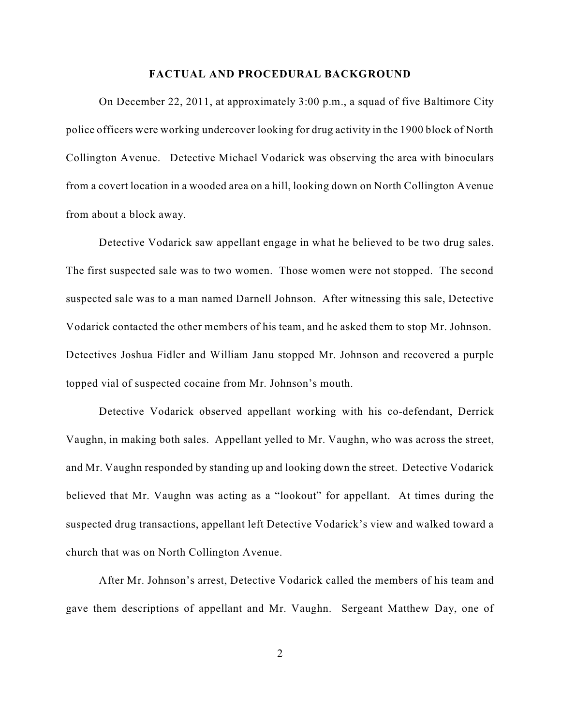#### **FACTUAL AND PROCEDURAL BACKGROUND**

On December 22, 2011, at approximately 3:00 p.m., a squad of five Baltimore City police officers were working undercover looking for drug activity in the 1900 block of North Collington Avenue. Detective Michael Vodarick was observing the area with binoculars from a covert location in a wooded area on a hill, looking down on North Collington Avenue from about a block away.

Detective Vodarick saw appellant engage in what he believed to be two drug sales. The first suspected sale was to two women. Those women were not stopped. The second suspected sale was to a man named Darnell Johnson. After witnessing this sale, Detective Vodarick contacted the other members of his team, and he asked them to stop Mr. Johnson. Detectives Joshua Fidler and William Janu stopped Mr. Johnson and recovered a purple topped vial of suspected cocaine from Mr. Johnson's mouth.

Detective Vodarick observed appellant working with his co-defendant, Derrick Vaughn, in making both sales. Appellant yelled to Mr. Vaughn, who was across the street, and Mr. Vaughn responded by standing up and looking down the street. Detective Vodarick believed that Mr. Vaughn was acting as a "lookout" for appellant. At times during the suspected drug transactions, appellant left Detective Vodarick's view and walked toward a church that was on North Collington Avenue.

After Mr. Johnson's arrest, Detective Vodarick called the members of his team and gave them descriptions of appellant and Mr. Vaughn. Sergeant Matthew Day, one of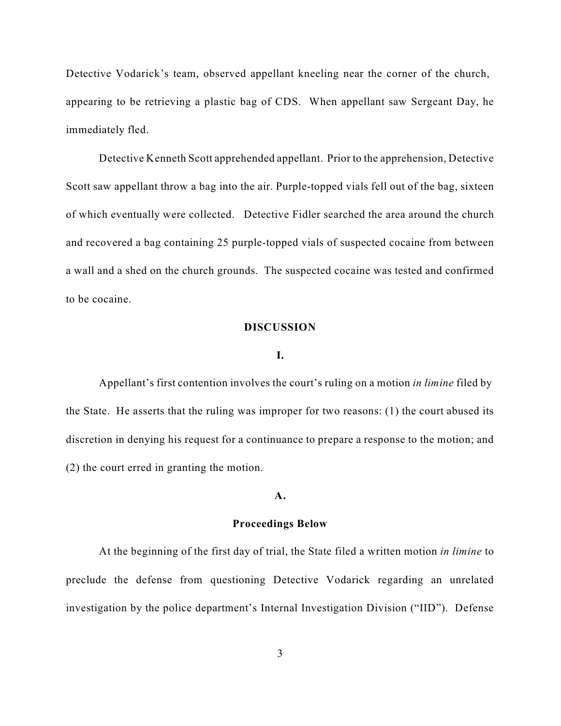Detective Vodarick's team, observed appellant kneeling near the corner of the church, appearing to be retrieving a plastic bag of CDS. When appellant saw Sergeant Day, he immediately fled.

Detective Kenneth Scott apprehended appellant. Prior to the apprehension, Detective Scott saw appellant throw a bag into the air. Purple-topped vials fell out of the bag, sixteen of which eventually were collected. Detective Fidler searched the area around the church and recovered a bag containing 25 purple-topped vials of suspected cocaine from between a wall and a shed on the church grounds. The suspected cocaine was tested and confirmed to be cocaine.

#### **DISCUSSION**

### **I.**

Appellant's first contention involves the court's ruling on a motion *in limine* filed by the State. He asserts that the ruling was improper for two reasons: (1) the court abused its discretion in denying his request for a continuance to prepare a response to the motion; and (2) the court erred in granting the motion.

#### **A.**

#### **Proceedings Below**

At the beginning of the first day of trial, the State filed a written motion *in limine* to preclude the defense from questioning Detective Vodarick regarding an unrelated investigation by the police department's Internal Investigation Division ("IID"). Defense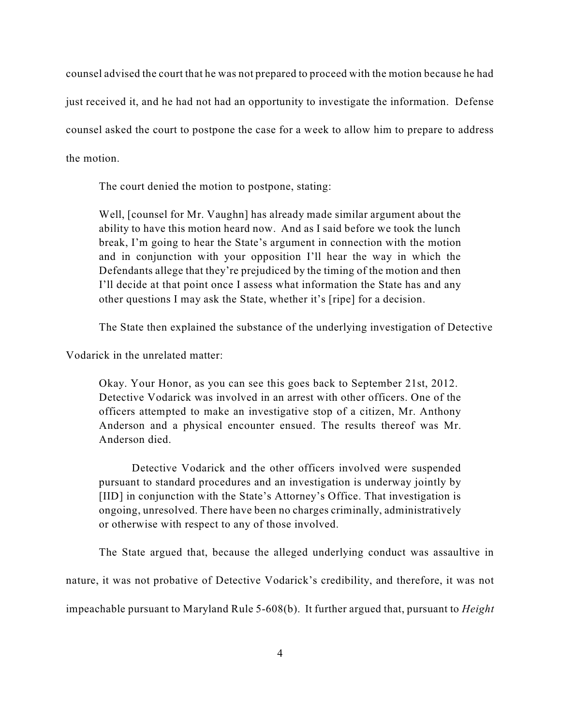counsel advised the court that he was not prepared to proceed with the motion because he had just received it, and he had not had an opportunity to investigate the information. Defense counsel asked the court to postpone the case for a week to allow him to prepare to address the motion.

The court denied the motion to postpone, stating:

Well, [counsel for Mr. Vaughn] has already made similar argument about the ability to have this motion heard now. And as I said before we took the lunch break, I'm going to hear the State's argument in connection with the motion and in conjunction with your opposition I'll hear the way in which the Defendants allege that they're prejudiced by the timing of the motion and then I'll decide at that point once I assess what information the State has and any other questions I may ask the State, whether it's [ripe] for a decision.

The State then explained the substance of the underlying investigation of Detective

Vodarick in the unrelated matter:

Okay. Your Honor, as you can see this goes back to September 21st, 2012. Detective Vodarick was involved in an arrest with other officers. One of the officers attempted to make an investigative stop of a citizen, Mr. Anthony Anderson and a physical encounter ensued. The results thereof was Mr. Anderson died.

Detective Vodarick and the other officers involved were suspended pursuant to standard procedures and an investigation is underway jointly by [IID] in conjunction with the State's Attorney's Office. That investigation is ongoing, unresolved. There have been no charges criminally, administratively or otherwise with respect to any of those involved.

The State argued that, because the alleged underlying conduct was assaultive in nature, it was not probative of Detective Vodarick's credibility, and therefore, it was not impeachable pursuant to Maryland Rule 5-608(b). It further argued that, pursuant to *Height*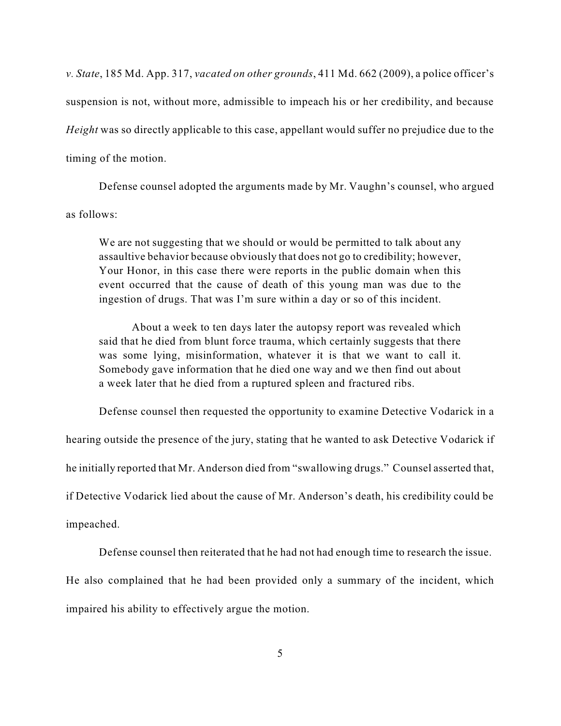*v. State*, 185 Md. App. 317, *vacated on other grounds*, 411 Md. 662 (2009), a police officer's suspension is not, without more, admissible to impeach his or her credibility, and because *Height* was so directly applicable to this case, appellant would suffer no prejudice due to the timing of the motion.

Defense counsel adopted the arguments made by Mr. Vaughn's counsel, who argued as follows:

We are not suggesting that we should or would be permitted to talk about any assaultive behavior because obviously that does not go to credibility; however, Your Honor, in this case there were reports in the public domain when this event occurred that the cause of death of this young man was due to the ingestion of drugs. That was I'm sure within a day or so of this incident.

About a week to ten days later the autopsy report was revealed which said that he died from blunt force trauma, which certainly suggests that there was some lying, misinformation, whatever it is that we want to call it. Somebody gave information that he died one way and we then find out about a week later that he died from a ruptured spleen and fractured ribs.

Defense counsel then requested the opportunity to examine Detective Vodarick in a

hearing outside the presence of the jury, stating that he wanted to ask Detective Vodarick if

he initially reported that Mr. Anderson died from "swallowing drugs." Counsel asserted that,

if Detective Vodarick lied about the cause of Mr. Anderson's death, his credibility could be

impeached.

Defense counsel then reiterated that he had not had enough time to research the issue.

He also complained that he had been provided only a summary of the incident, which impaired his ability to effectively argue the motion.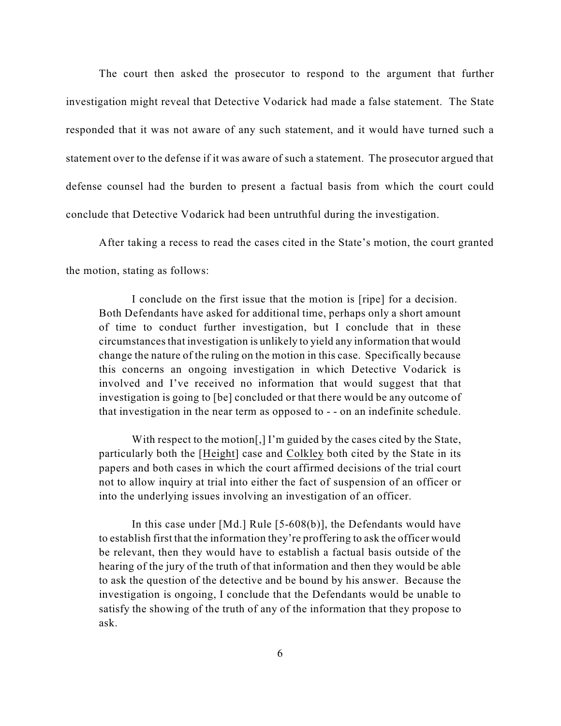The court then asked the prosecutor to respond to the argument that further investigation might reveal that Detective Vodarick had made a false statement. The State responded that it was not aware of any such statement, and it would have turned such a statement over to the defense if it was aware of such a statement. The prosecutor argued that defense counsel had the burden to present a factual basis from which the court could conclude that Detective Vodarick had been untruthful during the investigation.

After taking a recess to read the cases cited in the State's motion, the court granted the motion, stating as follows:

I conclude on the first issue that the motion is [ripe] for a decision. Both Defendants have asked for additional time, perhaps only a short amount of time to conduct further investigation, but I conclude that in these circumstancesthat investigation is unlikely to yield any information that would change the nature of the ruling on the motion in this case. Specifically because this concerns an ongoing investigation in which Detective Vodarick is involved and I've received no information that would suggest that that investigation is going to [be] concluded or that there would be any outcome of that investigation in the near term as opposed to - - on an indefinite schedule.

With respect to the motion[,] I'm guided by the cases cited by the State, particularly both the [Height] case and Colkley both cited by the State in its papers and both cases in which the court affirmed decisions of the trial court not to allow inquiry at trial into either the fact of suspension of an officer or into the underlying issues involving an investigation of an officer.

In this case under [Md.] Rule [5-608(b)], the Defendants would have to establish first that the information they're proffering to ask the officer would be relevant, then they would have to establish a factual basis outside of the hearing of the jury of the truth of that information and then they would be able to ask the question of the detective and be bound by his answer. Because the investigation is ongoing, I conclude that the Defendants would be unable to satisfy the showing of the truth of any of the information that they propose to ask.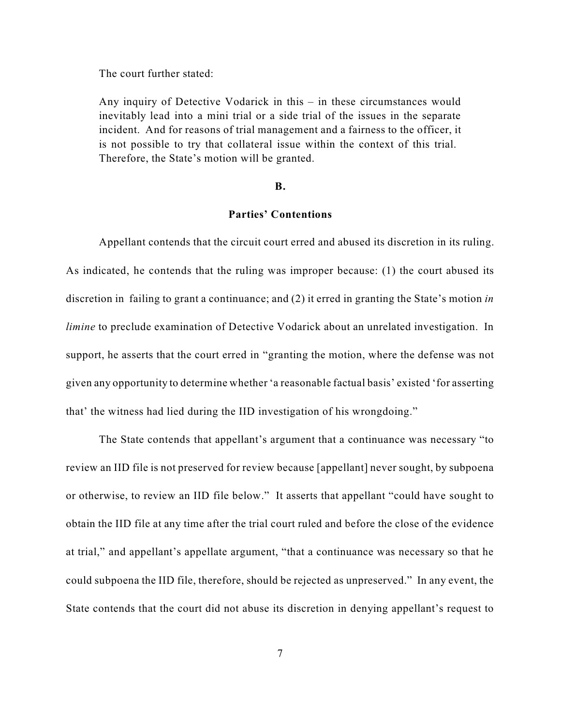The court further stated:

Any inquiry of Detective Vodarick in this – in these circumstances would inevitably lead into a mini trial or a side trial of the issues in the separate incident. And for reasons of trial management and a fairness to the officer, it is not possible to try that collateral issue within the context of this trial. Therefore, the State's motion will be granted.

#### **B.**

## **Parties' Contentions**

Appellant contends that the circuit court erred and abused its discretion in its ruling. As indicated, he contends that the ruling was improper because: (1) the court abused its discretion in failing to grant a continuance; and (2) it erred in granting the State's motion *in limine* to preclude examination of Detective Vodarick about an unrelated investigation. In support, he asserts that the court erred in "granting the motion, where the defense was not given any opportunity to determine whether 'a reasonable factual basis' existed 'for asserting that' the witness had lied during the IID investigation of his wrongdoing."

The State contends that appellant's argument that a continuance was necessary "to review an IID file is not preserved for review because [appellant] never sought, by subpoena or otherwise, to review an IID file below." It asserts that appellant "could have sought to obtain the IID file at any time after the trial court ruled and before the close of the evidence at trial," and appellant's appellate argument, "that a continuance was necessary so that he could subpoena the IID file, therefore, should be rejected as unpreserved." In any event, the State contends that the court did not abuse its discretion in denying appellant's request to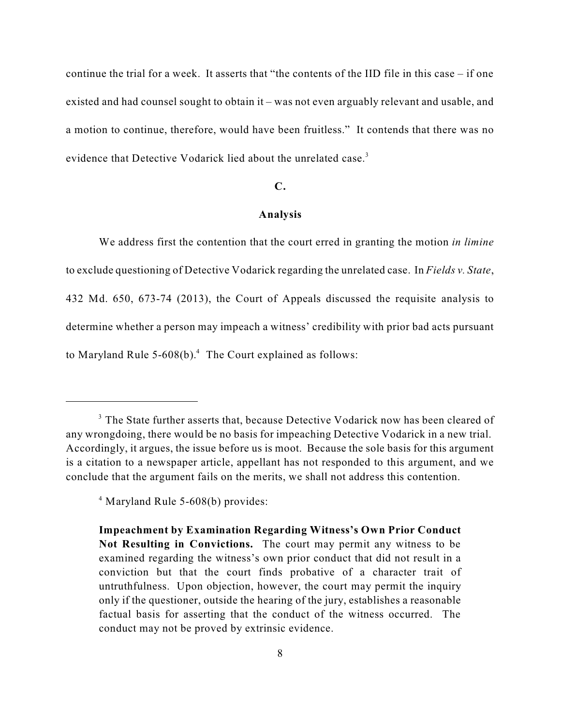continue the trial for a week. It asserts that "the contents of the IID file in this case – if one existed and had counsel sought to obtain it – was not even arguably relevant and usable, and a motion to continue, therefore, would have been fruitless." It contends that there was no evidence that Detective Vodarick lied about the unrelated case.<sup>3</sup>

#### **C.**

## **Analysis**

We address first the contention that the court erred in granting the motion *in limine* to exclude questioning of Detective Vodarick regarding the unrelated case. In *Fields v. State*, 432 Md. 650, 673-74 (2013), the Court of Appeals discussed the requisite analysis to determine whether a person may impeach a witness' credibility with prior bad acts pursuant to Maryland Rule 5-608(b). $4$  The Court explained as follows:

<sup>&</sup>lt;sup>3</sup> The State further asserts that, because Detective Vodarick now has been cleared of any wrongdoing, there would be no basis for impeaching Detective Vodarick in a new trial. Accordingly, it argues, the issue before us is moot. Because the sole basis for this argument is a citation to a newspaper article, appellant has not responded to this argument, and we conclude that the argument fails on the merits, we shall not address this contention.

<sup>&</sup>lt;sup>4</sup> Maryland Rule 5-608(b) provides:

**Impeachment by Examination Regarding Witness's Own Prior Conduct Not Resulting in Convictions.** The court may permit any witness to be examined regarding the witness's own prior conduct that did not result in a conviction but that the court finds probative of a character trait of untruthfulness. Upon objection, however, the court may permit the inquiry only if the questioner, outside the hearing of the jury, establishes a reasonable factual basis for asserting that the conduct of the witness occurred. The conduct may not be proved by extrinsic evidence.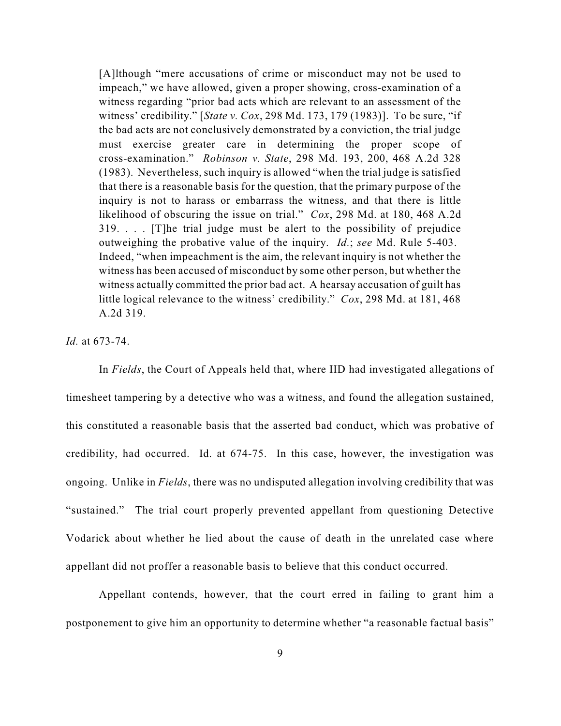[A]lthough "mere accusations of crime or misconduct may not be used to impeach," we have allowed, given a proper showing, cross-examination of a witness regarding "prior bad acts which are relevant to an assessment of the witness' credibility." [*State v. Cox*, 298 Md. 173, 179 (1983)]. To be sure, "if the bad acts are not conclusively demonstrated by a conviction, the trial judge must exercise greater care in determining the proper scope of cross-examination." *Robinson v. State*, 298 Md. 193, 200, 468 A.2d 328 (1983). Nevertheless, such inquiry is allowed "when the trial judge is satisfied that there is a reasonable basis for the question, that the primary purpose of the inquiry is not to harass or embarrass the witness, and that there is little likelihood of obscuring the issue on trial." *Cox*, 298 Md. at 180, 468 A.2d 319. . . . [T]he trial judge must be alert to the possibility of prejudice outweighing the probative value of the inquiry. *Id.*; *see* Md. Rule 5-403. Indeed, "when impeachment is the aim, the relevant inquiry is not whether the witness has been accused of misconduct by some other person, but whether the witness actually committed the prior bad act. A hearsay accusation of guilt has little logical relevance to the witness' credibility." *Cox*, 298 Md. at 181, 468 A.2d 319.

*Id.* at 673-74.

In *Fields*, the Court of Appeals held that, where IID had investigated allegations of timesheet tampering by a detective who was a witness, and found the allegation sustained, this constituted a reasonable basis that the asserted bad conduct, which was probative of credibility, had occurred. Id. at 674-75. In this case, however, the investigation was ongoing. Unlike in *Fields*, there was no undisputed allegation involving credibility that was "sustained." The trial court properly prevented appellant from questioning Detective Vodarick about whether he lied about the cause of death in the unrelated case where appellant did not proffer a reasonable basis to believe that this conduct occurred.

Appellant contends, however, that the court erred in failing to grant him a postponement to give him an opportunity to determine whether "a reasonable factual basis"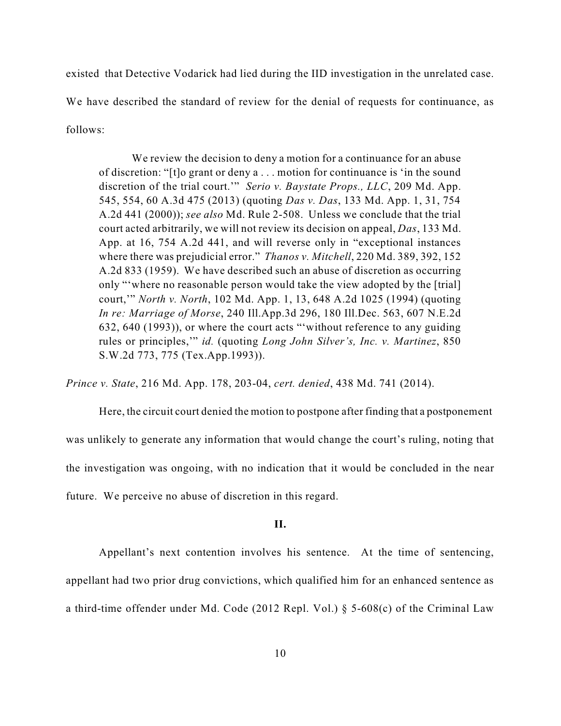existed that Detective Vodarick had lied during the IID investigation in the unrelated case. We have described the standard of review for the denial of requests for continuance, as follows:

We review the decision to deny a motion for a continuance for an abuse of discretion: "[t]o grant or deny a . . . motion for continuance is 'in the sound discretion of the trial court.'" *Serio v. Baystate Props., LLC*, 209 Md. App. 545, 554, 60 A.3d 475 (2013) (quoting *Das v. Das*, 133 Md. App. 1, 31, 754 A.2d 441 (2000)); *see also* Md. Rule 2-508. Unless we conclude that the trial court acted arbitrarily, we will not review its decision on appeal, *Das*, 133 Md. App. at 16, 754 A.2d 441, and will reverse only in "exceptional instances where there was prejudicial error." *Thanos v. Mitchell*, 220 Md. 389, 392, 152 A.2d 833 (1959). We have described such an abuse of discretion as occurring only "'where no reasonable person would take the view adopted by the [trial] court,'" *North v. North*, 102 Md. App. 1, 13, 648 A.2d 1025 (1994) (quoting *In re: Marriage of Morse*, 240 Ill.App.3d 296, 180 Ill.Dec. 563, 607 N.E.2d 632, 640 (1993)), or where the court acts "'without reference to any guiding rules or principles,'" *id.* (quoting *Long John Silver's, Inc. v. Martinez*, 850 S.W.2d 773, 775 (Tex.App.1993)).

*Prince v. State*, 216 Md. App. 178, 203-04, *cert. denied*, 438 Md. 741 (2014).

Here, the circuit court denied the motion to postpone after finding that a postponement was unlikely to generate any information that would change the court's ruling, noting that the investigation was ongoing, with no indication that it would be concluded in the near future. We perceive no abuse of discretion in this regard.

## **II.**

Appellant's next contention involves his sentence. At the time of sentencing, appellant had two prior drug convictions, which qualified him for an enhanced sentence as a third-time offender under Md. Code (2012 Repl. Vol.) § 5-608(c) of the Criminal Law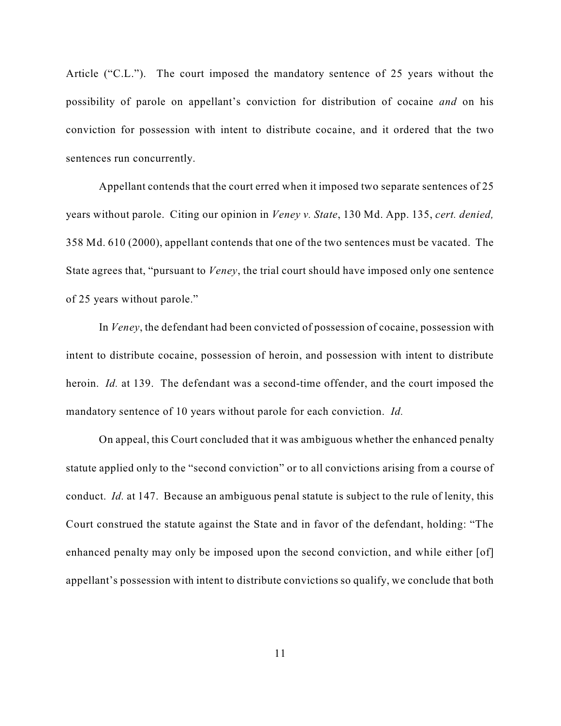Article ("C.L."). The court imposed the mandatory sentence of 25 years without the possibility of parole on appellant's conviction for distribution of cocaine *and* on his conviction for possession with intent to distribute cocaine, and it ordered that the two sentences run concurrently.

Appellant contends that the court erred when it imposed two separate sentences of 25 years without parole. Citing our opinion in *Veney v. State*, 130 Md. App. 135, *cert. denied,* 358 Md. 610 (2000), appellant contends that one of the two sentences must be vacated. The State agrees that, "pursuant to *Veney*, the trial court should have imposed only one sentence of 25 years without parole."

In *Veney*, the defendant had been convicted of possession of cocaine, possession with intent to distribute cocaine, possession of heroin, and possession with intent to distribute heroin. *Id.* at 139. The defendant was a second-time offender, and the court imposed the mandatory sentence of 10 years without parole for each conviction. *Id.*

On appeal, this Court concluded that it was ambiguous whether the enhanced penalty statute applied only to the "second conviction" or to all convictions arising from a course of conduct. *Id.* at 147. Because an ambiguous penal statute is subject to the rule of lenity, this Court construed the statute against the State and in favor of the defendant, holding: "The enhanced penalty may only be imposed upon the second conviction, and while either [of] appellant's possession with intent to distribute convictions so qualify, we conclude that both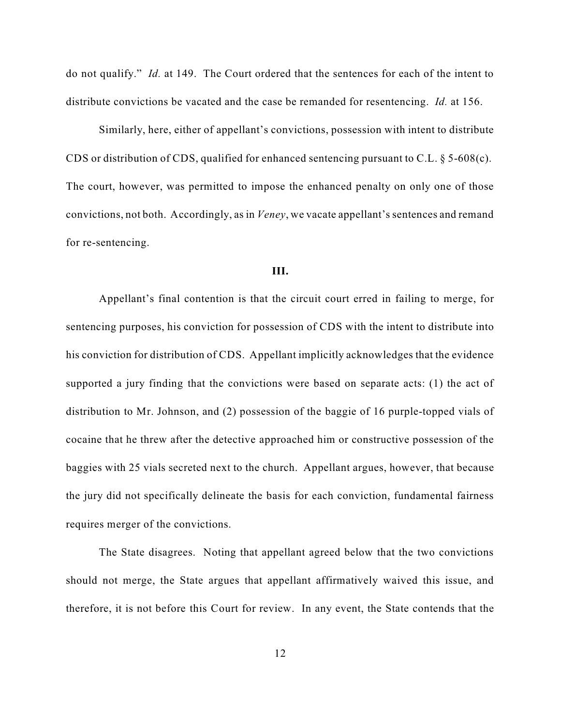do not qualify." *Id.* at 149. The Court ordered that the sentences for each of the intent to distribute convictions be vacated and the case be remanded for resentencing. *Id.* at 156.

Similarly, here, either of appellant's convictions, possession with intent to distribute CDS or distribution of CDS, qualified for enhanced sentencing pursuant to C.L.  $\S$  5-608(c). The court, however, was permitted to impose the enhanced penalty on only one of those convictions, not both. Accordingly, as in *Veney*, we vacate appellant's sentences and remand for re-sentencing.

#### **III.**

Appellant's final contention is that the circuit court erred in failing to merge, for sentencing purposes, his conviction for possession of CDS with the intent to distribute into his conviction for distribution of CDS. Appellant implicitly acknowledges that the evidence supported a jury finding that the convictions were based on separate acts: (1) the act of distribution to Mr. Johnson, and (2) possession of the baggie of 16 purple-topped vials of cocaine that he threw after the detective approached him or constructive possession of the baggies with 25 vials secreted next to the church. Appellant argues, however, that because the jury did not specifically delineate the basis for each conviction, fundamental fairness requires merger of the convictions.

The State disagrees. Noting that appellant agreed below that the two convictions should not merge, the State argues that appellant affirmatively waived this issue, and therefore, it is not before this Court for review. In any event, the State contends that the